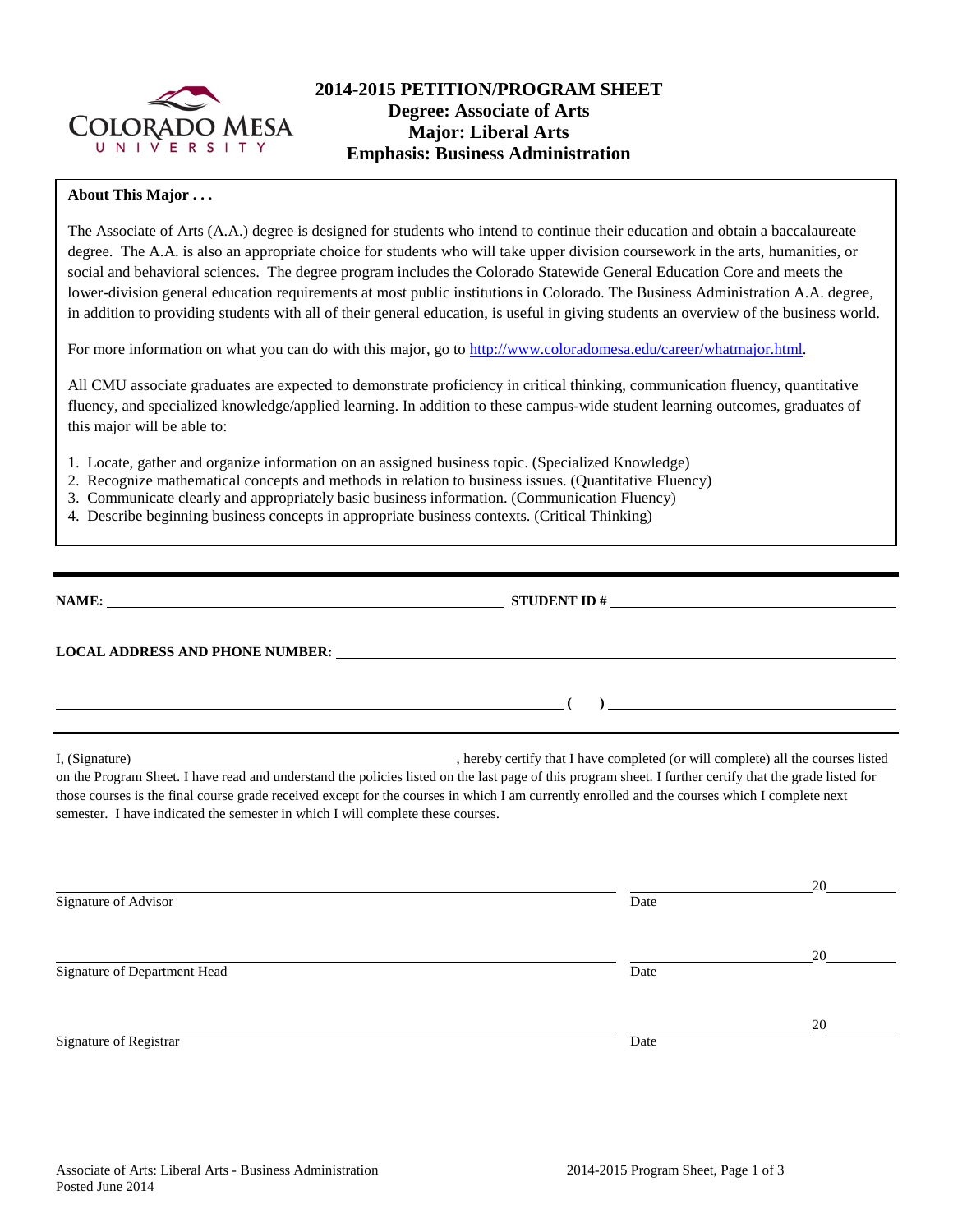

## **2014-2015 PETITION/PROGRAM SHEET Degree: Associate of Arts Major: Liberal Arts Emphasis: Business Administration**

#### **About This Major . . .**

The Associate of Arts (A.A.) degree is designed for students who intend to continue their education and obtain a baccalaureate degree. The A.A. is also an appropriate choice for students who will take upper division coursework in the arts, humanities, or social and behavioral sciences. The degree program includes the Colorado Statewide General Education Core and meets the lower-division general education requirements at most public institutions in Colorado. The Business Administration A.A. degree, in addition to providing students with all of their general education, is useful in giving students an overview of the business world.

For more information on what you can do with this major, go to [http://www.coloradomesa.edu/career/whatmajor.html.](http://www.coloradomesa.edu/career/whatmajor.html)

All CMU associate graduates are expected to demonstrate proficiency in critical thinking, communication fluency, quantitative fluency, and specialized knowledge/applied learning. In addition to these campus-wide student learning outcomes, graduates of this major will be able to:

- 1. Locate, gather and organize information on an assigned business topic. (Specialized Knowledge)
- 2. Recognize mathematical concepts and methods in relation to business issues. (Quantitative Fluency)
- 3. Communicate clearly and appropriately basic business information. (Communication Fluency)
- 4. Describe beginning business concepts in appropriate business contexts. (Critical Thinking)

|                                                                                 | STUDENT ID $#$                                                                                                                                                                                                                                                                                                                                                                                              |
|---------------------------------------------------------------------------------|-------------------------------------------------------------------------------------------------------------------------------------------------------------------------------------------------------------------------------------------------------------------------------------------------------------------------------------------------------------------------------------------------------------|
| <b>LOCAL ADDRESS AND PHONE NUMBER:</b>                                          |                                                                                                                                                                                                                                                                                                                                                                                                             |
|                                                                                 | <u> 1980 - Johann Stein, fransk politik (</u>                                                                                                                                                                                                                                                                                                                                                               |
| semester. I have indicated the semester in which I will complete these courses. | I, (Signature) hereby certify that I have completed (or will complete) all the courses listed<br>on the Program Sheet. I have read and understand the policies listed on the last page of this program sheet. I further certify that the grade listed for<br>those courses is the final course grade received except for the courses in which I am currently enrolled and the courses which I complete next |

|                              |      | 20 |
|------------------------------|------|----|
| Signature of Advisor         | Date |    |
|                              |      | 20 |
| Signature of Department Head | Date |    |
|                              |      | 20 |
| Signature of Registrar       | Date |    |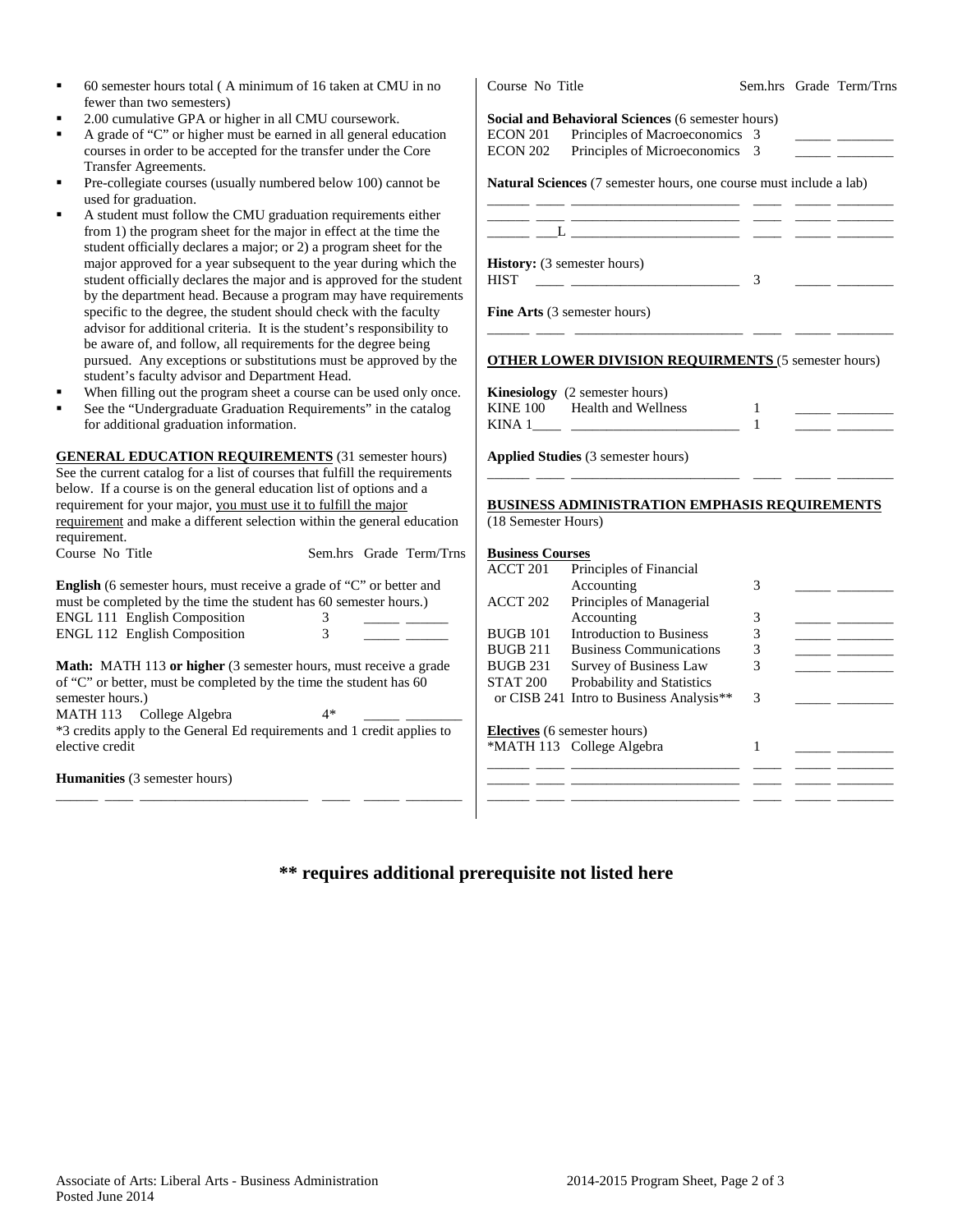| fewer than two semesters)                                                               |                                                                                                                                                                                                                                                                                                 |  |  |  |
|-----------------------------------------------------------------------------------------|-------------------------------------------------------------------------------------------------------------------------------------------------------------------------------------------------------------------------------------------------------------------------------------------------|--|--|--|
| 2.00 cumulative GPA or higher in all CMU coursework.                                    | Social and Behavioral Sciences (6 semester hours)                                                                                                                                                                                                                                               |  |  |  |
| A grade of "C" or higher must be earned in all general education<br>×                   | <b>ECON 201</b><br>Principles of Macroeconomics 3                                                                                                                                                                                                                                               |  |  |  |
| courses in order to be accepted for the transfer under the Core                         | Principles of Microeconomics 3<br><b>ECON 202</b>                                                                                                                                                                                                                                               |  |  |  |
| Transfer Agreements.                                                                    |                                                                                                                                                                                                                                                                                                 |  |  |  |
| Pre-collegiate courses (usually numbered below 100) cannot be<br>٠                      | Natural Sciences (7 semester hours, one course must include a lab)                                                                                                                                                                                                                              |  |  |  |
| used for graduation.                                                                    |                                                                                                                                                                                                                                                                                                 |  |  |  |
| A student must follow the CMU graduation requirements either<br>٠                       | <u> 1990 - John Stein, mars and de Britannie (b. 1980)</u>                                                                                                                                                                                                                                      |  |  |  |
| from 1) the program sheet for the major in effect at the time the                       |                                                                                                                                                                                                                                                                                                 |  |  |  |
| student officially declares a major; or 2) a program sheet for the                      |                                                                                                                                                                                                                                                                                                 |  |  |  |
| major approved for a year subsequent to the year during which the                       | <b>History:</b> (3 semester hours)                                                                                                                                                                                                                                                              |  |  |  |
| student officially declares the major and is approved for the student                   | <b>HIST</b><br>3                                                                                                                                                                                                                                                                                |  |  |  |
| by the department head. Because a program may have requirements                         |                                                                                                                                                                                                                                                                                                 |  |  |  |
| specific to the degree, the student should check with the faculty                       | Fine Arts (3 semester hours)                                                                                                                                                                                                                                                                    |  |  |  |
| advisor for additional criteria. It is the student's responsibility to                  |                                                                                                                                                                                                                                                                                                 |  |  |  |
| be aware of, and follow, all requirements for the degree being                          |                                                                                                                                                                                                                                                                                                 |  |  |  |
| pursued. Any exceptions or substitutions must be approved by the                        | <b>OTHER LOWER DIVISION REQUIRMENTS (5 semester hours)</b>                                                                                                                                                                                                                                      |  |  |  |
| student's faculty advisor and Department Head.                                          |                                                                                                                                                                                                                                                                                                 |  |  |  |
| When filling out the program sheet a course can be used only once.                      | Kinesiology (2 semester hours)                                                                                                                                                                                                                                                                  |  |  |  |
| See the "Undergraduate Graduation Requirements" in the catalog                          | <b>Health and Wellness</b><br><b>KINE 100</b><br>1                                                                                                                                                                                                                                              |  |  |  |
| for additional graduation information.                                                  | $\mathbf{1}$                                                                                                                                                                                                                                                                                    |  |  |  |
|                                                                                         |                                                                                                                                                                                                                                                                                                 |  |  |  |
| <b>GENERAL EDUCATION REQUIREMENTS</b> (31 semester hours)                               | Applied Studies (3 semester hours)                                                                                                                                                                                                                                                              |  |  |  |
| See the current catalog for a list of courses that fulfill the requirements             |                                                                                                                                                                                                                                                                                                 |  |  |  |
| below. If a course is on the general education list of options and a                    |                                                                                                                                                                                                                                                                                                 |  |  |  |
| requirement for your major, you must use it to fulfill the major                        | <b>BUSINESS ADMINISTRATION EMPHASIS REQUIREMENTS</b>                                                                                                                                                                                                                                            |  |  |  |
| requirement and make a different selection within the general education<br>requirement. | (18 Semester Hours)                                                                                                                                                                                                                                                                             |  |  |  |
| Course No Title<br>Sem.hrs Grade Term/Trns                                              | <b>Business Courses</b>                                                                                                                                                                                                                                                                         |  |  |  |
|                                                                                         | Principles of Financial<br>ACCT 201                                                                                                                                                                                                                                                             |  |  |  |
| English (6 semester hours, must receive a grade of "C" or better and                    | Accounting<br>3                                                                                                                                                                                                                                                                                 |  |  |  |
| must be completed by the time the student has 60 semester hours.)                       | Principles of Managerial<br>ACCT 202                                                                                                                                                                                                                                                            |  |  |  |
| <b>ENGL 111 English Composition</b><br>3                                                | Accounting<br>3                                                                                                                                                                                                                                                                                 |  |  |  |
| <b>ENGL 112 English Composition</b><br>3                                                | <b>Introduction to Business</b><br>3<br><b>BUGB 101</b><br><u> The Common State State State State State State State State State State State State State State State State State State State State State State State State State State State State State State State State State State State</u> |  |  |  |
|                                                                                         | <b>BUGB 211</b><br><b>Business Communications</b><br>3                                                                                                                                                                                                                                          |  |  |  |
| Math: MATH 113 or higher (3 semester hours, must receive a grade                        | <b>BUGB 231</b><br>Survey of Business Law<br>3<br>$\overline{\phantom{a}}$                                                                                                                                                                                                                      |  |  |  |
| of "C" or better, must be completed by the time the student has 60                      | <b>STAT 200</b><br>Probability and Statistics                                                                                                                                                                                                                                                   |  |  |  |
| semester hours.)                                                                        | or CISB 241 Intro to Business Analysis**<br>3                                                                                                                                                                                                                                                   |  |  |  |
| MATH 113 College Algebra<br>$4*$                                                        |                                                                                                                                                                                                                                                                                                 |  |  |  |
| *3 credits apply to the General Ed requirements and 1 credit applies to                 | Electives (6 semester hours)                                                                                                                                                                                                                                                                    |  |  |  |
| elective credit                                                                         | *MATH 113 College Algebra<br>1                                                                                                                                                                                                                                                                  |  |  |  |
|                                                                                         |                                                                                                                                                                                                                                                                                                 |  |  |  |
| Humanities (3 semester hours)                                                           |                                                                                                                                                                                                                                                                                                 |  |  |  |
|                                                                                         |                                                                                                                                                                                                                                                                                                 |  |  |  |
|                                                                                         |                                                                                                                                                                                                                                                                                                 |  |  |  |
|                                                                                         |                                                                                                                                                                                                                                                                                                 |  |  |  |

# **\*\* requires additional prerequisite not listed here**

60 semester hours total ( A minimum of 16 taken at CMU in no

Course No Title Sem.hrs Grade Term/Trns